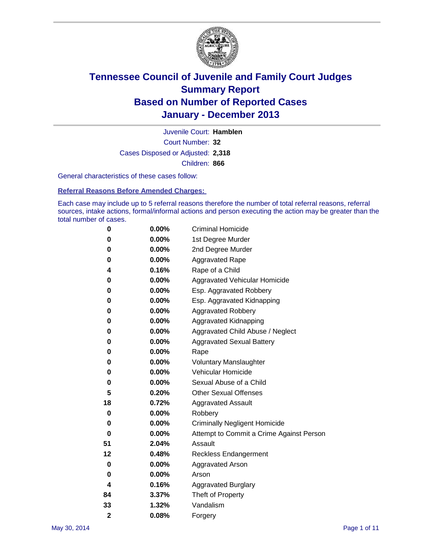

Court Number: **32** Juvenile Court: **Hamblen** Cases Disposed or Adjusted: **2,318** Children: **866**

General characteristics of these cases follow:

**Referral Reasons Before Amended Charges:** 

Each case may include up to 5 referral reasons therefore the number of total referral reasons, referral sources, intake actions, formal/informal actions and person executing the action may be greater than the total number of cases.

| 0              | $0.00\%$ | <b>Criminal Homicide</b>                 |  |  |  |
|----------------|----------|------------------------------------------|--|--|--|
| 0              | 0.00%    | 1st Degree Murder                        |  |  |  |
| 0              | 0.00%    | 2nd Degree Murder                        |  |  |  |
| 0              | $0.00\%$ | <b>Aggravated Rape</b>                   |  |  |  |
| 4              | 0.16%    | Rape of a Child                          |  |  |  |
| 0              | 0.00%    | <b>Aggravated Vehicular Homicide</b>     |  |  |  |
| 0              | $0.00\%$ | Esp. Aggravated Robbery                  |  |  |  |
| 0              | 0.00%    | Esp. Aggravated Kidnapping               |  |  |  |
| 0              | 0.00%    | <b>Aggravated Robbery</b>                |  |  |  |
| 0              | 0.00%    | Aggravated Kidnapping                    |  |  |  |
| 0              | 0.00%    | Aggravated Child Abuse / Neglect         |  |  |  |
| 0              | 0.00%    | <b>Aggravated Sexual Battery</b>         |  |  |  |
| 0              | 0.00%    | Rape                                     |  |  |  |
| 0              | 0.00%    | <b>Voluntary Manslaughter</b>            |  |  |  |
| 0              | 0.00%    | Vehicular Homicide                       |  |  |  |
| 0              | $0.00\%$ | Sexual Abuse of a Child                  |  |  |  |
| 5              | 0.20%    | <b>Other Sexual Offenses</b>             |  |  |  |
| 18             | 0.72%    | <b>Aggravated Assault</b>                |  |  |  |
| 0              | 0.00%    | Robbery                                  |  |  |  |
| 0              | 0.00%    | <b>Criminally Negligent Homicide</b>     |  |  |  |
| 0              | 0.00%    | Attempt to Commit a Crime Against Person |  |  |  |
| 51             | 2.04%    | Assault                                  |  |  |  |
| 12             | 0.48%    | <b>Reckless Endangerment</b>             |  |  |  |
| 0              | 0.00%    | <b>Aggravated Arson</b>                  |  |  |  |
| 0              | 0.00%    | Arson                                    |  |  |  |
| 4              | 0.16%    | <b>Aggravated Burglary</b>               |  |  |  |
| 84             | 3.37%    | Theft of Property                        |  |  |  |
| 33             | 1.32%    | Vandalism                                |  |  |  |
| $\overline{2}$ | 0.08%    | Forgery                                  |  |  |  |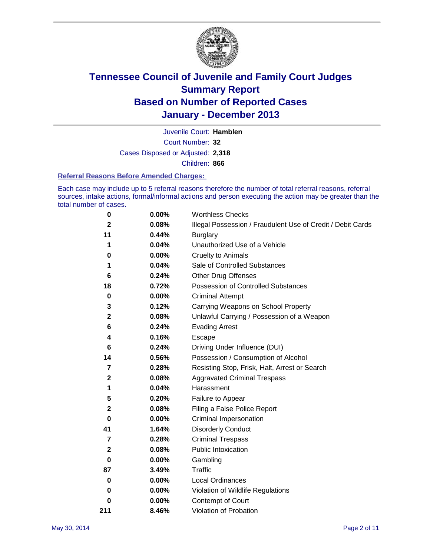

Court Number: **32** Juvenile Court: **Hamblen** Cases Disposed or Adjusted: **2,318** Children: **866**

#### **Referral Reasons Before Amended Charges:**

Each case may include up to 5 referral reasons therefore the number of total referral reasons, referral sources, intake actions, formal/informal actions and person executing the action may be greater than the total number of cases.

| 0            | 0.00%    | <b>Worthless Checks</b>                                     |
|--------------|----------|-------------------------------------------------------------|
| $\mathbf{2}$ | 0.08%    | Illegal Possession / Fraudulent Use of Credit / Debit Cards |
| 11           | 0.44%    | <b>Burglary</b>                                             |
| 1            | 0.04%    | Unauthorized Use of a Vehicle                               |
| 0            | 0.00%    | <b>Cruelty to Animals</b>                                   |
| 1            | 0.04%    | Sale of Controlled Substances                               |
| 6            | 0.24%    | <b>Other Drug Offenses</b>                                  |
| 18           | 0.72%    | Possession of Controlled Substances                         |
| $\pmb{0}$    | 0.00%    | <b>Criminal Attempt</b>                                     |
| 3            | 0.12%    | Carrying Weapons on School Property                         |
| $\mathbf{2}$ | 0.08%    | Unlawful Carrying / Possession of a Weapon                  |
| 6            | 0.24%    | <b>Evading Arrest</b>                                       |
| 4            | 0.16%    | Escape                                                      |
| 6            | 0.24%    | Driving Under Influence (DUI)                               |
| 14           | 0.56%    | Possession / Consumption of Alcohol                         |
| 7            | 0.28%    | Resisting Stop, Frisk, Halt, Arrest or Search               |
| $\mathbf 2$  | 0.08%    | <b>Aggravated Criminal Trespass</b>                         |
| 1            | 0.04%    | Harassment                                                  |
| 5            | 0.20%    | Failure to Appear                                           |
| $\mathbf 2$  | 0.08%    | Filing a False Police Report                                |
| 0            | $0.00\%$ | Criminal Impersonation                                      |
| 41           | 1.64%    | <b>Disorderly Conduct</b>                                   |
| 7            | 0.28%    | <b>Criminal Trespass</b>                                    |
| $\mathbf 2$  | 0.08%    | <b>Public Intoxication</b>                                  |
| $\bf{0}$     | 0.00%    | Gambling                                                    |
| 87           | 3.49%    | Traffic                                                     |
| $\bf{0}$     | $0.00\%$ | <b>Local Ordinances</b>                                     |
| 0            | 0.00%    | Violation of Wildlife Regulations                           |
| 0            | $0.00\%$ | Contempt of Court                                           |
| 211          | 8.46%    | Violation of Probation                                      |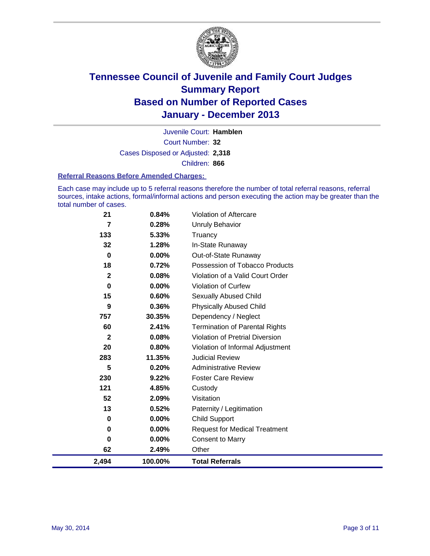

Court Number: **32** Juvenile Court: **Hamblen** Cases Disposed or Adjusted: **2,318** Children: **866**

#### **Referral Reasons Before Amended Charges:**

Each case may include up to 5 referral reasons therefore the number of total referral reasons, referral sources, intake actions, formal/informal actions and person executing the action may be greater than the total number of cases.

| 2,494        | 100.00%  | <b>Total Referrals</b>                 |
|--------------|----------|----------------------------------------|
| 62           | 2.49%    | Other                                  |
| 0            | 0.00%    | <b>Consent to Marry</b>                |
| $\bf{0}$     | 0.00%    | <b>Request for Medical Treatment</b>   |
| 0            | $0.00\%$ | <b>Child Support</b>                   |
| 13           | 0.52%    | Paternity / Legitimation               |
| 52           | 2.09%    | Visitation                             |
| 121          | 4.85%    | Custody                                |
| 230          | 9.22%    | <b>Foster Care Review</b>              |
| 5            | 0.20%    | <b>Administrative Review</b>           |
| 283          | 11.35%   | <b>Judicial Review</b>                 |
| 20           | 0.80%    | Violation of Informal Adjustment       |
| $\mathbf{2}$ | 0.08%    | <b>Violation of Pretrial Diversion</b> |
| 60           | 2.41%    | <b>Termination of Parental Rights</b>  |
| 757          | 30.35%   | Dependency / Neglect                   |
| 9            | 0.36%    | <b>Physically Abused Child</b>         |
| 15           | 0.60%    | <b>Sexually Abused Child</b>           |
| 0            | $0.00\%$ | <b>Violation of Curfew</b>             |
| $\mathbf 2$  | 0.08%    | Violation of a Valid Court Order       |
| 18           | 0.72%    | Possession of Tobacco Products         |
| 0            | $0.00\%$ | Out-of-State Runaway                   |
| 32           | 1.28%    | In-State Runaway                       |
| 133          | 5.33%    | Truancy                                |
| 7            | 0.28%    | <b>Unruly Behavior</b>                 |
| 21           | 0.84%    | Violation of Aftercare                 |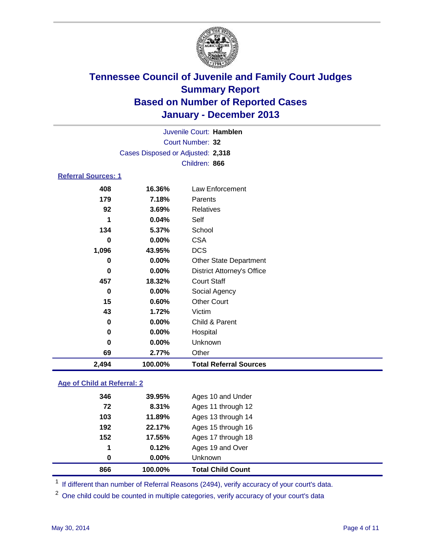

| Juvenile Court: Hamblen    |                                   |                                   |  |  |  |
|----------------------------|-----------------------------------|-----------------------------------|--|--|--|
|                            | Court Number: 32                  |                                   |  |  |  |
|                            | Cases Disposed or Adjusted: 2,318 |                                   |  |  |  |
|                            | Children: 866                     |                                   |  |  |  |
| <b>Referral Sources: 1</b> |                                   |                                   |  |  |  |
| 408                        | 16.36%                            | Law Enforcement                   |  |  |  |
| 179                        | 7.18%                             | Parents                           |  |  |  |
| 92                         | 3.69%                             | <b>Relatives</b>                  |  |  |  |
| 1                          | 0.04%                             | Self                              |  |  |  |
| 134                        | 5.37%                             | School                            |  |  |  |
| 0                          | $0.00\%$                          | <b>CSA</b>                        |  |  |  |
| 1,096                      | 43.95%                            | <b>DCS</b>                        |  |  |  |
| 0                          | $0.00\%$                          | <b>Other State Department</b>     |  |  |  |
| $\bf{0}$                   | $0.00\%$                          | <b>District Attorney's Office</b> |  |  |  |
| 457                        | 18.32%                            | <b>Court Staff</b>                |  |  |  |
| 0                          | 0.00%                             | Social Agency                     |  |  |  |
| 15                         | 0.60%                             | <b>Other Court</b>                |  |  |  |
| 43                         | 1.72%                             | Victim                            |  |  |  |
| 0                          | $0.00\%$                          | Child & Parent                    |  |  |  |
| 0                          | $0.00\%$                          | Hospital                          |  |  |  |
| $\bf{0}$                   | $0.00\%$                          | Unknown                           |  |  |  |
| 69                         | 2.77%                             | Other                             |  |  |  |
| 2,494                      | 100.00%                           | <b>Total Referral Sources</b>     |  |  |  |

### **Age of Child at Referral: 2**

| 866 | 100.00% | <b>Total Child Count</b> |
|-----|---------|--------------------------|
| 0   | 0.00%   | <b>Unknown</b>           |
| 1   | 0.12%   | Ages 19 and Over         |
| 152 | 17.55%  | Ages 17 through 18       |
| 192 | 22.17%  | Ages 15 through 16       |
| 103 | 11.89%  | Ages 13 through 14       |
| 72  | 8.31%   | Ages 11 through 12       |
| 346 | 39.95%  | Ages 10 and Under        |
|     |         |                          |

<sup>1</sup> If different than number of Referral Reasons (2494), verify accuracy of your court's data.

<sup>2</sup> One child could be counted in multiple categories, verify accuracy of your court's data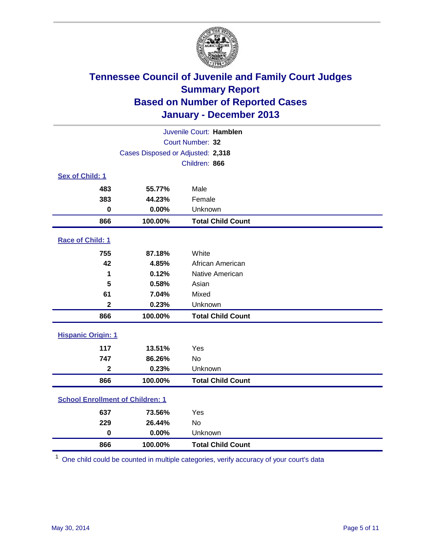

| Juvenile Court: Hamblen                 |                                   |                          |  |  |
|-----------------------------------------|-----------------------------------|--------------------------|--|--|
|                                         | Court Number: 32                  |                          |  |  |
|                                         | Cases Disposed or Adjusted: 2,318 |                          |  |  |
|                                         |                                   | Children: 866            |  |  |
| Sex of Child: 1                         |                                   |                          |  |  |
| 483                                     | 55.77%                            | Male                     |  |  |
| 383                                     | 44.23%                            | Female                   |  |  |
| $\bf{0}$                                | 0.00%                             | Unknown                  |  |  |
| 866                                     | 100.00%                           | <b>Total Child Count</b> |  |  |
| Race of Child: 1                        |                                   |                          |  |  |
| 755                                     | 87.18%                            | White                    |  |  |
| 42                                      | 4.85%                             | African American         |  |  |
| 1                                       | 0.12%                             | Native American          |  |  |
| 5                                       | 0.58%                             | Asian                    |  |  |
| 61                                      | 7.04%                             | Mixed                    |  |  |
| $\mathbf{2}$                            | 0.23%                             | Unknown                  |  |  |
| 866                                     | 100.00%                           | <b>Total Child Count</b> |  |  |
| <b>Hispanic Origin: 1</b>               |                                   |                          |  |  |
| 117                                     | 13.51%                            | Yes                      |  |  |
| 747                                     | 86.26%                            | <b>No</b>                |  |  |
| $\mathbf 2$                             | 0.23%                             | Unknown                  |  |  |
| 866                                     | 100.00%                           | <b>Total Child Count</b> |  |  |
| <b>School Enrollment of Children: 1</b> |                                   |                          |  |  |
| 637                                     | 73.56%                            | Yes                      |  |  |
| 229                                     | 26.44%                            | <b>No</b>                |  |  |
| $\bf{0}$                                | 0.00%                             | Unknown                  |  |  |
| 866                                     | 100.00%                           | <b>Total Child Count</b> |  |  |

One child could be counted in multiple categories, verify accuracy of your court's data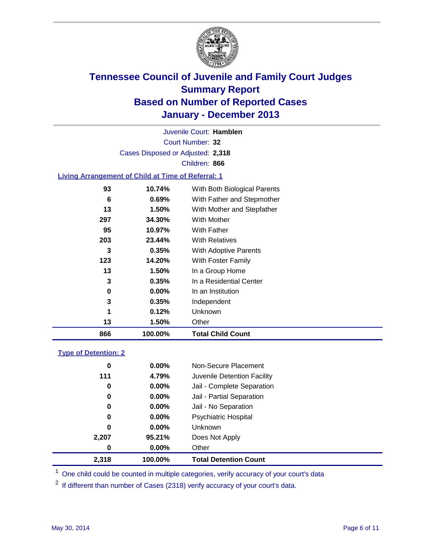

Court Number: **32** Juvenile Court: **Hamblen** Cases Disposed or Adjusted: **2,318** Children: **866**

#### **Living Arrangement of Child at Time of Referral: 1**

| 866 | 100.00%  | <b>Total Child Count</b>     |
|-----|----------|------------------------------|
| 13  | 1.50%    | Other                        |
| 1   | 0.12%    | Unknown                      |
| 3   | 0.35%    | Independent                  |
| 0   | $0.00\%$ | In an Institution            |
| 3   | 0.35%    | In a Residential Center      |
| 13  | 1.50%    | In a Group Home              |
| 123 | 14.20%   | With Foster Family           |
| 3   | 0.35%    | <b>With Adoptive Parents</b> |
| 203 | 23.44%   | <b>With Relatives</b>        |
| 95  | 10.97%   | With Father                  |
| 297 | 34.30%   | With Mother                  |
| 13  | 1.50%    | With Mother and Stepfather   |
| 6   | 0.69%    | With Father and Stepmother   |
| 93  | 10.74%   | With Both Biological Parents |
|     |          |                              |

#### **Type of Detention: 2**

| 2,318 | 100.00%  | <b>Total Detention Count</b> |  |
|-------|----------|------------------------------|--|
| 0     | $0.00\%$ | Other                        |  |
| 2,207 | 95.21%   | Does Not Apply               |  |
| 0     | $0.00\%$ | <b>Unknown</b>               |  |
| 0     | $0.00\%$ | <b>Psychiatric Hospital</b>  |  |
| 0     | 0.00%    | Jail - No Separation         |  |
| 0     | $0.00\%$ | Jail - Partial Separation    |  |
| 0     | 0.00%    | Jail - Complete Separation   |  |
| 111   | 4.79%    | Juvenile Detention Facility  |  |
| 0     | 0.00%    | Non-Secure Placement         |  |
|       |          |                              |  |

<sup>1</sup> One child could be counted in multiple categories, verify accuracy of your court's data

<sup>2</sup> If different than number of Cases (2318) verify accuracy of your court's data.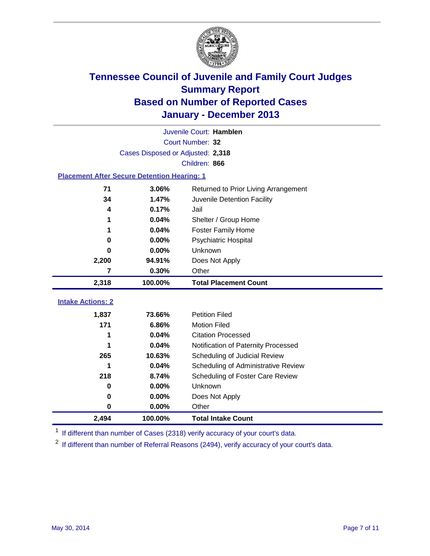

|                                                    | Juvenile Court: Hamblen           |                                      |  |  |
|----------------------------------------------------|-----------------------------------|--------------------------------------|--|--|
|                                                    | Court Number: 32                  |                                      |  |  |
|                                                    | Cases Disposed or Adjusted: 2,318 |                                      |  |  |
|                                                    |                                   | Children: 866                        |  |  |
| <b>Placement After Secure Detention Hearing: 1</b> |                                   |                                      |  |  |
| 71                                                 | 3.06%                             | Returned to Prior Living Arrangement |  |  |
| 34                                                 | 1.47%                             | Juvenile Detention Facility          |  |  |
| 4                                                  | 0.17%                             | Jail                                 |  |  |
| 1                                                  | 0.04%                             | Shelter / Group Home                 |  |  |
|                                                    | 0.04%                             | <b>Foster Family Home</b>            |  |  |
| 0                                                  | 0.00%                             | Psychiatric Hospital                 |  |  |
| 0                                                  | 0.00%                             | Unknown                              |  |  |
| 2,200                                              | 94.91%                            | Does Not Apply                       |  |  |
| 7                                                  | 0.30%                             | Other                                |  |  |
| 2,318                                              | 100.00%                           | <b>Total Placement Count</b>         |  |  |
|                                                    |                                   |                                      |  |  |
| <b>Intake Actions: 2</b>                           |                                   |                                      |  |  |
| 1,837                                              | 73.66%                            | <b>Petition Filed</b>                |  |  |
| 171                                                | 6.86%                             | <b>Motion Filed</b>                  |  |  |
| 1                                                  | 0.04%                             | <b>Citation Processed</b>            |  |  |
|                                                    | 0.04%                             | Notification of Paternity Processed  |  |  |
| 265                                                | 10.63%                            | Scheduling of Judicial Review        |  |  |
| 1                                                  | 0.04%                             | Scheduling of Administrative Review  |  |  |
| 218                                                | 8.74%                             | Scheduling of Foster Care Review     |  |  |
| $\bf{0}$                                           | 0.00%                             | Unknown                              |  |  |
| 0                                                  | 0.00%                             | Does Not Apply                       |  |  |
| 0                                                  | 0.00%                             | Other                                |  |  |
| 2,494                                              | 100.00%                           | <b>Total Intake Count</b>            |  |  |

<sup>1</sup> If different than number of Cases (2318) verify accuracy of your court's data.

 $2$  If different than number of Referral Reasons (2494), verify accuracy of your court's data.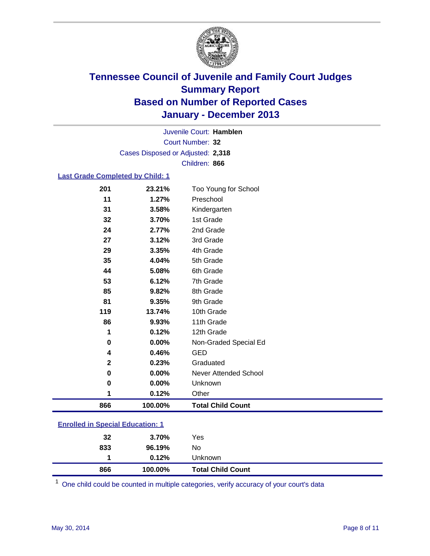

Court Number: **32** Juvenile Court: **Hamblen** Cases Disposed or Adjusted: **2,318** Children: **866**

#### **Last Grade Completed by Child: 1**

| 866          | 100.00% | <b>Total Child Count</b> |  |
|--------------|---------|--------------------------|--|
| 1            | 0.12%   | Other                    |  |
| 0            | 0.00%   | Unknown                  |  |
| 0            | 0.00%   | Never Attended School    |  |
| $\mathbf{2}$ | 0.23%   | Graduated                |  |
| 4            | 0.46%   | <b>GED</b>               |  |
| 0            | 0.00%   | Non-Graded Special Ed    |  |
| 1            | 0.12%   | 12th Grade               |  |
| 86           | 9.93%   | 11th Grade               |  |
| 119          | 13.74%  | 10th Grade               |  |
| 81           | 9.35%   | 9th Grade                |  |
| 85           | 9.82%   | 8th Grade                |  |
| 53           | 6.12%   | 7th Grade                |  |
| 44           | 5.08%   | 6th Grade                |  |
| 35           | 4.04%   | 5th Grade                |  |
| 29           | 3.35%   | 4th Grade                |  |
| 27           | 3.12%   | 3rd Grade                |  |
| 24           | 2.77%   | 2nd Grade                |  |
| 32           | 3.70%   | 1st Grade                |  |
| 31           | 3.58%   | Kindergarten             |  |
| 11           | 1.27%   | Preschool                |  |
| 201          | 23.21%  | Too Young for School     |  |

|                                         | 866 | 100.00% | <b>Total Child Count</b> |
|-----------------------------------------|-----|---------|--------------------------|
|                                         |     | 0.12%   | <b>Unknown</b>           |
|                                         | 833 | 96.19%  | No                       |
|                                         | 32  | 3.70%   | Yes                      |
| <b>Enrolled in Special Education: 1</b> |     |         |                          |

One child could be counted in multiple categories, verify accuracy of your court's data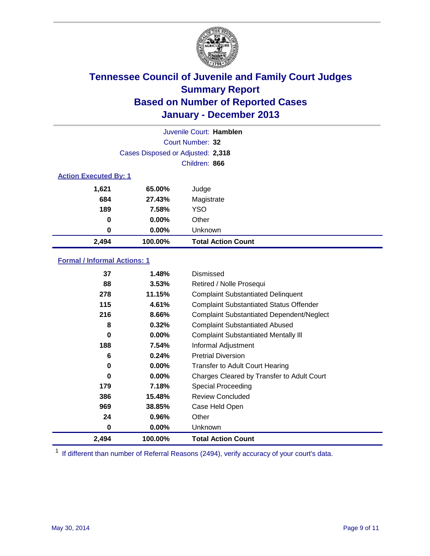

|                              |                                   | Juvenile Court: Hamblen   |
|------------------------------|-----------------------------------|---------------------------|
|                              |                                   | Court Number: 32          |
|                              | Cases Disposed or Adjusted: 2,318 |                           |
|                              |                                   | Children: 866             |
| <b>Action Executed By: 1</b> |                                   |                           |
| 1,621                        | 65.00%                            | Judge                     |
| 684                          | 27.43%                            | Magistrate                |
| 189                          | 7.58%                             | <b>YSO</b>                |
| 0                            | $0.00\%$                          | Other                     |
| 0                            | $0.00\%$                          | Unknown                   |
| 2,494                        | 100.00%                           | <b>Total Action Count</b> |

### **Formal / Informal Actions: 1**

| 37    | 1.48%    | Dismissed                                        |
|-------|----------|--------------------------------------------------|
| 88    | 3.53%    | Retired / Nolle Prosequi                         |
| 278   | 11.15%   | <b>Complaint Substantiated Delinquent</b>        |
| 115   | 4.61%    | <b>Complaint Substantiated Status Offender</b>   |
| 216   | 8.66%    | <b>Complaint Substantiated Dependent/Neglect</b> |
| 8     | 0.32%    | <b>Complaint Substantiated Abused</b>            |
| 0     | $0.00\%$ | <b>Complaint Substantiated Mentally III</b>      |
| 188   | 7.54%    | Informal Adjustment                              |
| 6     | 0.24%    | <b>Pretrial Diversion</b>                        |
| 0     | $0.00\%$ | <b>Transfer to Adult Court Hearing</b>           |
| 0     | 0.00%    | Charges Cleared by Transfer to Adult Court       |
| 179   | 7.18%    | Special Proceeding                               |
| 386   | 15.48%   | <b>Review Concluded</b>                          |
| 969   | 38.85%   | Case Held Open                                   |
| 24    | 0.96%    | Other                                            |
| 0     | $0.00\%$ | Unknown                                          |
| 2,494 | 100.00%  | <b>Total Action Count</b>                        |

<sup>1</sup> If different than number of Referral Reasons (2494), verify accuracy of your court's data.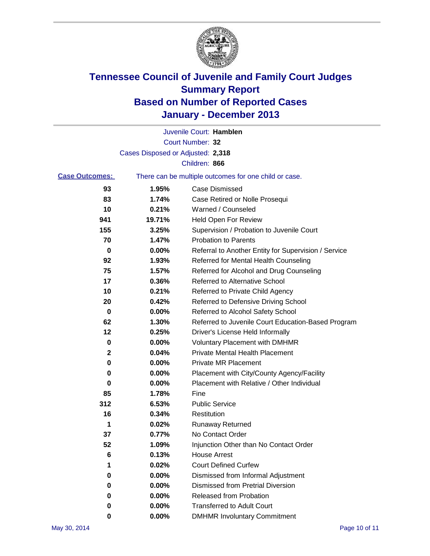

|                                                                                |                                   | Juvenile Court: Hamblen                              |
|--------------------------------------------------------------------------------|-----------------------------------|------------------------------------------------------|
|                                                                                |                                   | Court Number: 32                                     |
|                                                                                | Cases Disposed or Adjusted: 2,318 |                                                      |
|                                                                                |                                   | Children: 866                                        |
| <b>Case Outcomes:</b><br>There can be multiple outcomes for one child or case. |                                   |                                                      |
| 93                                                                             | 1.95%                             | <b>Case Dismissed</b>                                |
| 83                                                                             | 1.74%                             | Case Retired or Nolle Prosequi                       |
| 10                                                                             | 0.21%                             | Warned / Counseled                                   |
| 941                                                                            | 19.71%                            | Held Open For Review                                 |
| 155                                                                            | 3.25%                             | Supervision / Probation to Juvenile Court            |
| 70                                                                             | 1.47%                             | <b>Probation to Parents</b>                          |
| 0                                                                              | 0.00%                             | Referral to Another Entity for Supervision / Service |
| 92                                                                             | 1.93%                             | Referred for Mental Health Counseling                |
| 75                                                                             | 1.57%                             | Referred for Alcohol and Drug Counseling             |
| 17                                                                             | 0.36%                             | Referred to Alternative School                       |
| 10                                                                             | 0.21%                             | Referred to Private Child Agency                     |
| 20                                                                             | 0.42%                             | Referred to Defensive Driving School                 |
| 0                                                                              | 0.00%                             | Referred to Alcohol Safety School                    |
| 62                                                                             | 1.30%                             | Referred to Juvenile Court Education-Based Program   |
| 12                                                                             | 0.25%                             | Driver's License Held Informally                     |
| 0                                                                              | 0.00%                             | <b>Voluntary Placement with DMHMR</b>                |
| 2                                                                              | 0.04%                             | <b>Private Mental Health Placement</b>               |
| 0                                                                              | 0.00%                             | <b>Private MR Placement</b>                          |
| 0                                                                              | 0.00%                             | Placement with City/County Agency/Facility           |
| 0                                                                              | 0.00%                             | Placement with Relative / Other Individual           |
| 85                                                                             | 1.78%                             | Fine                                                 |
| 312                                                                            | 6.53%                             | <b>Public Service</b>                                |
| 16                                                                             | 0.34%                             | Restitution                                          |
| 1                                                                              | 0.02%                             | <b>Runaway Returned</b>                              |
| 37                                                                             | 0.77%                             | No Contact Order                                     |
| 52                                                                             | 1.09%                             | Injunction Other than No Contact Order               |
| 6                                                                              | 0.13%                             | <b>House Arrest</b>                                  |
| 1                                                                              | 0.02%                             | <b>Court Defined Curfew</b>                          |
| 0                                                                              | 0.00%                             | Dismissed from Informal Adjustment                   |
| 0                                                                              | 0.00%                             | <b>Dismissed from Pretrial Diversion</b>             |
| 0                                                                              | 0.00%                             | Released from Probation                              |
| 0                                                                              | 0.00%                             | <b>Transferred to Adult Court</b>                    |
| 0                                                                              | $0.00\%$                          | <b>DMHMR Involuntary Commitment</b>                  |